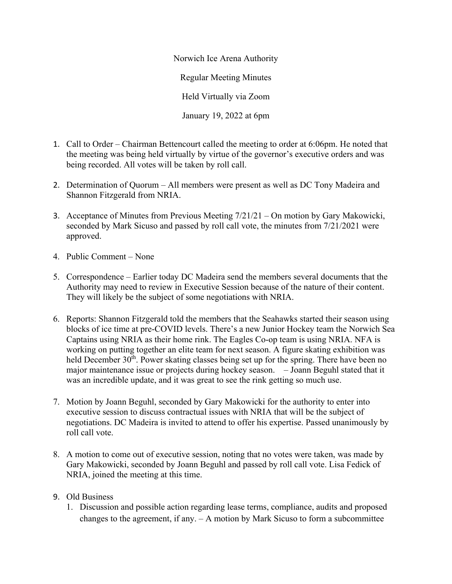Norwich Ice Arena Authority Regular Meeting Minutes Held Virtually via Zoom January 19, 2022 at 6pm

- 1. Call to Order Chairman Bettencourt called the meeting to order at 6:06pm. He noted that the meeting was being held virtually by virtue of the governor's executive orders and was being recorded. All votes will be taken by roll call.
- 2. Determination of Quorum All members were present as well as DC Tony Madeira and Shannon Fitzgerald from NRIA.
- 3. Acceptance of Minutes from Previous Meeting 7/21/21 On motion by Gary Makowicki, seconded by Mark Sicuso and passed by roll call vote, the minutes from 7/21/2021 were approved.
- 4. Public Comment None
- 5. Correspondence Earlier today DC Madeira send the members several documents that the Authority may need to review in Executive Session because of the nature of their content. They will likely be the subject of some negotiations with NRIA.
- 6. Reports: Shannon Fitzgerald told the members that the Seahawks started their season using blocks of ice time at pre-COVID levels. There's a new Junior Hockey team the Norwich Sea Captains using NRIA as their home rink. The Eagles Co-op team is using NRIA. NFA is working on putting together an elite team for next season. A figure skating exhibition was held December  $30<sup>th</sup>$ . Power skating classes being set up for the spring. There have been no major maintenance issue or projects during hockey season. – Joann Beguhl stated that it was an incredible update, and it was great to see the rink getting so much use.
- 7. Motion by Joann Beguhl, seconded by Gary Makowicki for the authority to enter into executive session to discuss contractual issues with NRIA that will be the subject of negotiations. DC Madeira is invited to attend to offer his expertise. Passed unanimously by roll call vote.
- 8. A motion to come out of executive session, noting that no votes were taken, was made by Gary Makowicki, seconded by Joann Beguhl and passed by roll call vote. Lisa Fedick of NRIA, joined the meeting at this time.
- 9. Old Business
	- 1. Discussion and possible action regarding lease terms, compliance, audits and proposed changes to the agreement, if any. – A motion by Mark Sicuso to form a subcommittee